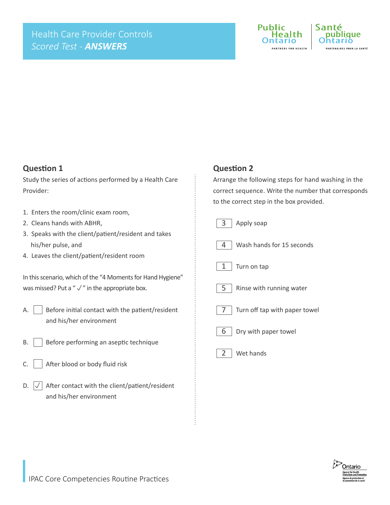

### **Question 1**

Study the series of actions performed by a Health Care Provider:

- 1. Enters the room/clinic exam room,
- 2. Cleans hands with ABHR,
- 3. Speaks with the client/patient/resident and takes his/her pulse, and
- 4. Leaves the client/patient/resident room

| In this scenario, which of the "4 Moments for Hand Hygiene" |
|-------------------------------------------------------------|
| was missed? Put a " $\sqrt{ }$ " in the appropriate box.    |

- A.  $\vert \vert$  Before initial contact with the patient/resident and his/her environment
- B. | Before performing an aseptic technique
- $C.$  After blood or body fluid risk
- After contact with the client/patient/resident and his/her environment  $D.$   $\vert \sqrt{\vert}$

#### **Question 2**

Arrange the following steps for hand washing in the correct sequence. Write the number that corresponds to the correct step in the box provided.

| 3<br>Apply soap                           |
|-------------------------------------------|
| Wash hands for 15 seconds<br>4            |
| 1<br>Turn on tap                          |
| Rinse with running water<br>5             |
| Turn off tap with paper towel<br><b>7</b> |
| 6<br>Dry with paper towel                 |
| $2$   Wet hands                           |
|                                           |

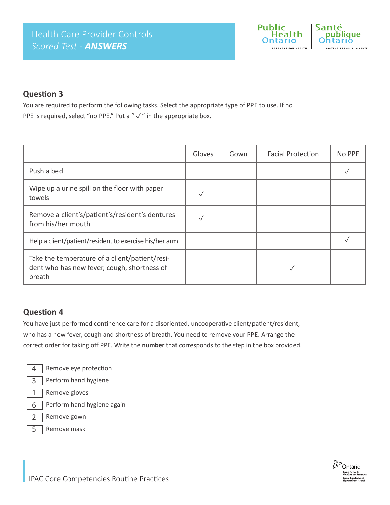

## **Question 3**

You are required to perform the following tasks. Select the appropriate type of PPE to use. If no PPE is required, select "no PPE." Put a " $\sqrt{ }$ " in the appropriate box.

|                                                                                                         | Gloves | Gown | <b>Facial Protection</b> | No PPE |
|---------------------------------------------------------------------------------------------------------|--------|------|--------------------------|--------|
| Push a bed                                                                                              |        |      |                          |        |
| Wipe up a urine spill on the floor with paper<br>towels                                                 |        |      |                          |        |
| Remove a client's/patient's/resident's dentures<br>from his/her mouth                                   |        |      |                          |        |
| Help a client/patient/resident to exercise his/her arm                                                  |        |      |                          |        |
| Take the temperature of a client/patient/resi-<br>dent who has new fever, cough, shortness of<br>breath |        |      |                          |        |

## **Question 4**

You have just performed continence care for a disoriented, uncooperative client/patient/resident, who has a new fever, cough and shortness of breath. You need to remove your PPE. Arrange the correct order for taking off PPE. Write the **number** that corresponds to the step in the box provided.

4

5

Remove eye protection



- Remove gloves 1
- Perform hand hygiene again 6
- Remove gown 2
	- Remove mask

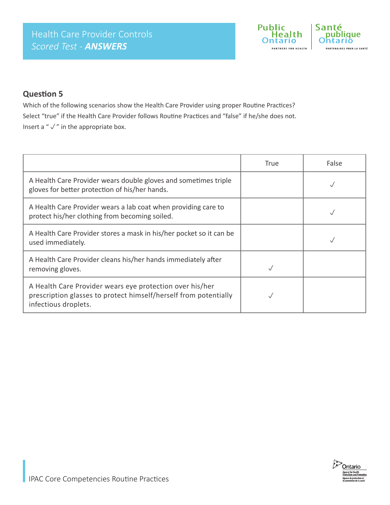

## **Question 5**

Which of the following scenarios show the Health Care Provider using proper Routine Practices? Select "true" if the Health Care Provider follows Routine Practices and "false" if he/she does not. Insert a " $\sqrt{ }$ " in the appropriate box.

|                                                                                                                                                      | True | False |
|------------------------------------------------------------------------------------------------------------------------------------------------------|------|-------|
| A Health Care Provider wears double gloves and sometimes triple<br>gloves for better protection of his/her hands.                                    |      |       |
| A Health Care Provider wears a lab coat when providing care to<br>protect his/her clothing from becoming soiled.                                     |      |       |
| A Health Care Provider stores a mask in his/her pocket so it can be<br>used immediately.                                                             |      |       |
| A Health Care Provider cleans his/her hands immediately after<br>removing gloves.                                                                    |      |       |
| A Health Care Provider wears eye protection over his/her<br>prescription glasses to protect himself/herself from potentially<br>infectious droplets. |      |       |